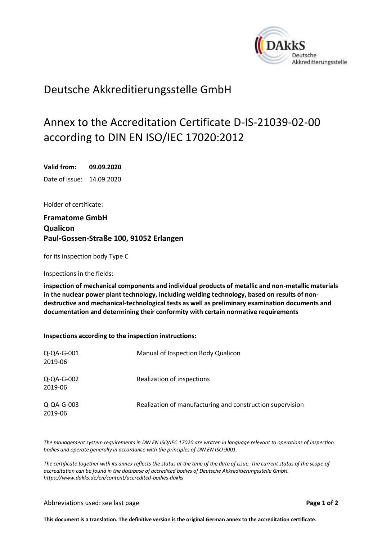<span id="page-0-0"></span>

## Deutsche Akkreditierungsstelle GmbH

## Annex to the Accreditation Certificate D-IS-21039-02-00 according to DIN EN ISO/IEC 17020:2012

<span id="page-0-2"></span><span id="page-0-1"></span>**Valid from: 09.09.2020** Date of issue: 14.09.2020

Holder of certificate:

**Framatome GmbH Qualicon Paul-Gossen-Straße 100, 91052 Erlangen**

for its inspection body Type C

Inspections in the fields:

**inspection of mechanical components and individual products of metallic and non-metallic materials in the nuclear power plant technology, including welding technology, based on results of nondestructive and mechanical-technological tests as well as preliminary examination documents and documentation and determining their conformity with certain normative requirements**

**Inspections according to the inspection instructions:**

| Q-QA-G-001<br>2019-06 | Manual of Inspection Body Qualicon                        |
|-----------------------|-----------------------------------------------------------|
| Q-QA-G-002<br>2019-06 | Realization of inspections                                |
| Q-QA-G-003<br>2019-06 | Realization of manufacturing and construction supervision |

*The management system requirements in DIN EN ISO/IEC 17020 are written in language relevant to operations of inspection bodies and operate generally in accordance with the principles of DIN EN ISO 9001.*

*The certificate together with its annex reflects the status at the time of the date of issue. The current status of the scope of accreditation can be found in the database of accredited bodies of Deutsche Akkreditierungsstelle GmbH. <https://www.dakks.de/en/content/accredited-bodies-dakks>*

Abbreviations used: see last page **Page 1 of 2**

**This document is a translation. The definitive version is the original German annex to the accreditation certificate.**